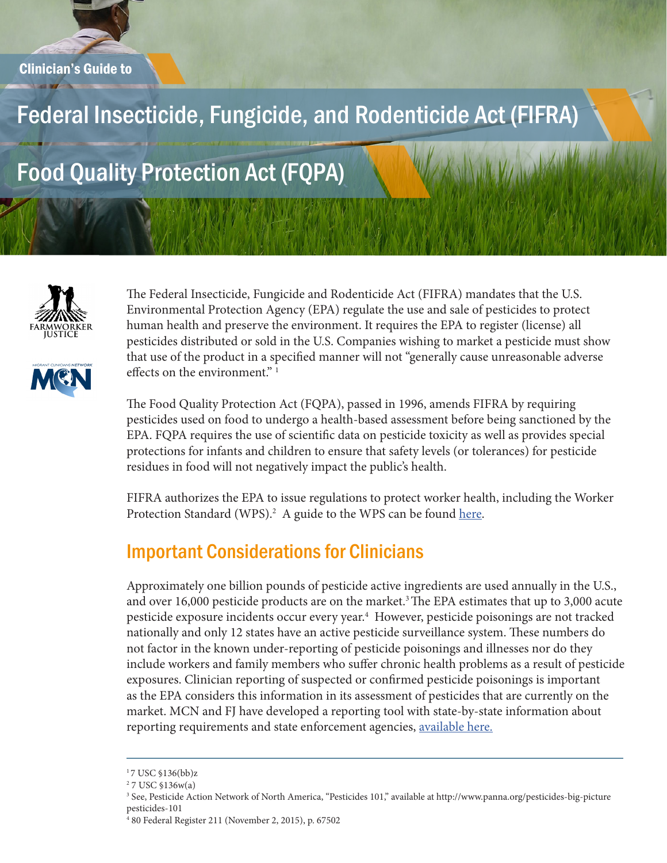# Federal Insecticide, Fungicide, and Rodenticide Act (FIFRA)

# Food Quality Protection Act (FQPA)





The Federal Insecticide, Fungicide and Rodenticide Act (FIFRA) mandates that the U.S. Environmental Protection Agency (EPA) regulate the use and sale of pesticides to protect human health and preserve the environment. It requires the EPA to register (license) all pesticides distributed or sold in the U.S. Companies wishing to market a pesticide must show that use of the product in a specified manner will not "generally cause unreasonable adverse effects on the environment."<sup>1</sup>

The Food Quality Protection Act (FQPA), passed in 1996, amends FIFRA by requiring pesticides used on food to undergo a health-based assessment before being sanctioned by the EPA. FQPA requires the use of scientific data on pesticide toxicity as well as provides special protections for infants and children to ensure that safety levels (or tolerances) for pesticide residues in food will not negatively impact the public's health.

FIFRA authorizes the EPA to issue regulations to protect worker health, including the Worker Protection Standard (WPS).<sup>2</sup> A guide to the WPS can be found [here](http://www.migrantclinician.org/files/WPS_MCN_FJ_IssuesBrief2016.pdf).

#### Important Considerations for Clinicians

Approximately one billion pounds of pesticide active ingredients are used annually in the U.S., and over 16,000 pesticide products are on the market.<sup>3</sup> The EPA estimates that up to 3,000 acute pesticide exposure incidents occur every year.4 However, pesticide poisonings are not tracked nationally and only 12 states have an active pesticide surveillance system. These numbers do not factor in the known under-reporting of pesticide poisonings and illnesses nor do they include workers and family members who suffer chronic health problems as a result of pesticide exposures. Clinician reporting of suspected or confirmed pesticide poisonings is important as the EPA considers this information in its assessment of pesticides that are currently on the market. MCN and FJ have developed a reporting tool with state-by-state information about reporting requirements and state enforcement agencies, [available here.](http://www.migrantclinician.org/issues/occupational-health/pesticides/reporting-illnesses.html)

<sup>&</sup>lt;sup>1</sup>7 USC §136(bb)z

<sup>2</sup> 7 USC §136w(a)

<sup>3</sup> See, Pesticide Action Network of North America, "Pesticides 101," available at http://www.panna.org/pesticides-big-picture pesticides-101

<sup>4</sup> 80 Federal Register 211 (November 2, 2015), p. 67502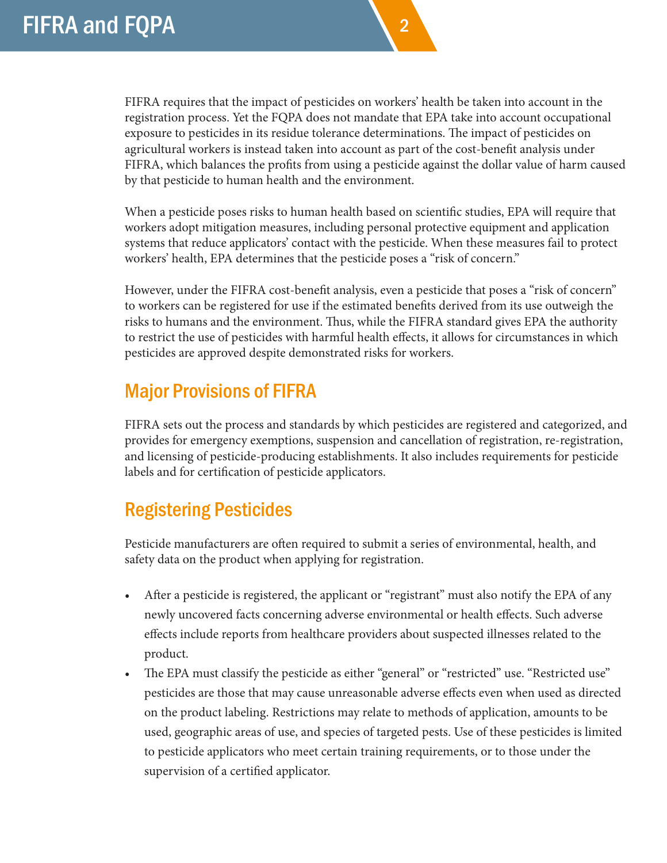FIFRA requires that the impact of pesticides on workers' health be taken into account in the registration process. Yet the FQPA does not mandate that EPA take into account occupational exposure to pesticides in its residue tolerance determinations. The impact of pesticides on agricultural workers is instead taken into account as part of the cost-benefit analysis under FIFRA, which balances the profits from using a pesticide against the dollar value of harm caused by that pesticide to human health and the environment.

2

When a pesticide poses risks to human health based on scientific studies, EPA will require that workers adopt mitigation measures, including personal protective equipment and application systems that reduce applicators' contact with the pesticide. When these measures fail to protect workers' health, EPA determines that the pesticide poses a "risk of concern."

However, under the FIFRA cost-benefit analysis, even a pesticide that poses a "risk of concern" to workers can be registered for use if the estimated benefits derived from its use outweigh the risks to humans and the environment. Thus, while the FIFRA standard gives EPA the authority to restrict the use of pesticides with harmful health effects, it allows for circumstances in which pesticides are approved despite demonstrated risks for workers.

### Major Provisions of FIFRA

FIFRA sets out the process and standards by which pesticides are registered and categorized, and provides for emergency exemptions, suspension and cancellation of registration, re-registration, and licensing of pesticide-producing establishments. It also includes requirements for pesticide labels and for certification of pesticide applicators.

# Registering Pesticides

Pesticide manufacturers are often required to submit a series of environmental, health, and safety data on the product when applying for registration.

- After a pesticide is registered, the applicant or "registrant" must also notify the EPA of any newly uncovered facts concerning adverse environmental or health effects. Such adverse effects include reports from healthcare providers about suspected illnesses related to the product.
- The EPA must classify the pesticide as either "general" or "restricted" use. "Restricted use" pesticides are those that may cause unreasonable adverse effects even when used as directed on the product labeling. Restrictions may relate to methods of application, amounts to be used, geographic areas of use, and species of targeted pests. Use of these pesticides is limited to pesticide applicators who meet certain training requirements, or to those under the supervision of a certified applicator.